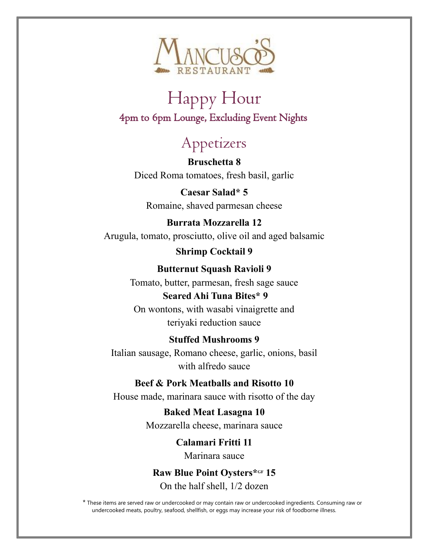

## Happy Hour 4pm to 6pm Lounge, Excluding Event Nights

# Appetizers

 **Bruschetta 8** Diced Roma tomatoes, fresh basil, garlic

**Caesar Salad\* 5** Romaine, shaved parmesan cheese

#### **Burrata Mozzarella 12** Arugula, tomato, prosciutto, olive oil and aged balsamic

**Shrimp Cocktail 9**

## **Butternut Squash Ravioli 9**

Tomato, butter, parmesan, fresh sage sauce **Seared Ahi Tuna Bites\* 9** On wontons, with wasabi vinaigrette and

teriyaki reduction sauce

### **Stuffed Mushrooms 9**

Italian sausage, Romano cheese, garlic, onions, basil with alfredo sauce

### **Beef & Pork Meatballs and Risotto 10**

House made, marinara sauce with risotto of the day

**Baked Meat Lasagna 10** Mozzarella cheese, marinara sauce

> **Calamari Fritti 11** Marinara sauce

**Raw Blue Point Oysters\*GF 15** On the half shell, 1/2 dozen

\* These items are served raw or undercooked or may contain raw or undercooked ingredients. Consuming raw or undercooked meats, poultry, seafood, shellfish, or eggs may increase your risk of foodborne illness.